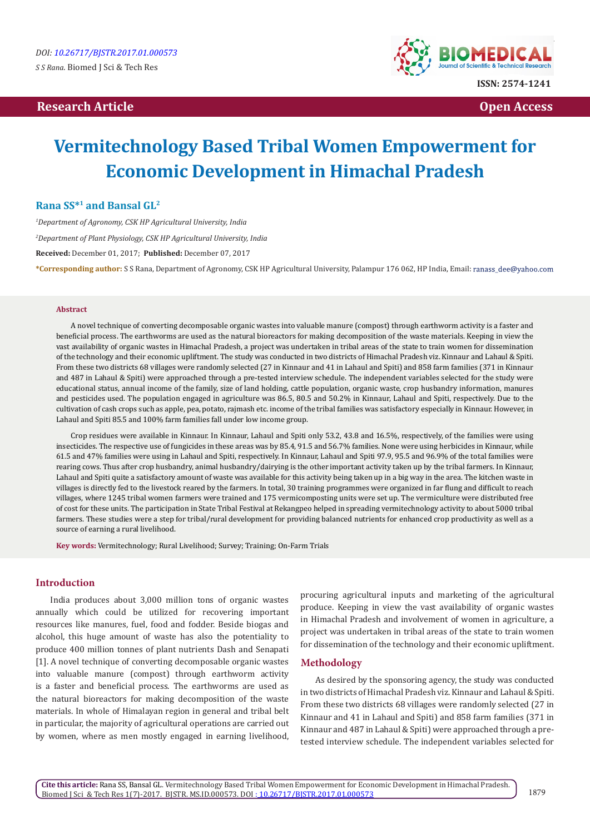# **Research Article Community Community Community Community Community Community Community Community Community Community Community Community Community Community Community Community Community Community Community Community Com**



# **Vermitechnology Based Tribal Women Empowerment for Economic Development in Himachal Pradesh**

# **Rana SS\*1 and Bansal GL2**

*1 Department of Agronomy, CSK HP Agricultural University, India 2 Department of Plant Physiology, CSK HP Agricultural University, India* **Received:** December 01, 2017; **Published:** December 07, 2017 **\*Corresponding author:** S S Rana, Department of Agronomy, CSK HP Agricultural University, Palampur 176 062, HP India, Email:

#### **Abstract**

A novel technique of converting decomposable organic wastes into valuable manure (compost) through earthworm activity is a faster and beneficial process. The earthworms are used as the natural bioreactors for making decomposition of the waste materials. Keeping in view the vast availability of organic wastes in Himachal Pradesh, a project was undertaken in tribal areas of the state to train women for dissemination of the technology and their economic upliftment. The study was conducted in two districts of Himachal Pradesh viz. Kinnaur and Lahaul & Spiti. From these two districts 68 villages were randomly selected (27 in Kinnaur and 41 in Lahaul and Spiti) and 858 farm families (371 in Kinnaur and 487 in Lahaul & Spiti) were approached through a pre-tested interview schedule. The independent variables selected for the study were educational status, annual income of the family, size of land holding, cattle population, organic waste, crop husbandry information, manures and pesticides used. The population engaged in agriculture was 86.5, 80.5 and 50.2% in Kinnaur, Lahaul and Spiti, respectively. Due to the cultivation of cash crops such as apple, pea, potato, rajmash etc. income of the tribal families was satisfactory especially in Kinnaur. However, in Lahaul and Spiti 85.5 and 100% farm families fall under low income group.

Crop residues were available in Kinnaur. In Kinnaur, Lahaul and Spiti only 53.2, 43.8 and 16.5%, respectively, of the families were using insecticides. The respective use of fungicides in these areas was by 85.4, 91.5 and 56.7% families. None were using herbicides in Kinnaur, while 61.5 and 47% families were using in Lahaul and Spiti, respectively. In Kinnaur, Lahaul and Spiti 97.9, 95.5 and 96.9% of the total families were rearing cows. Thus after crop husbandry, animal husbandry/dairying is the other important activity taken up by the tribal farmers. In Kinnaur, Lahaul and Spiti quite a satisfactory amount of waste was available for this activity being taken up in a big way in the area. The kitchen waste in villages is directly fed to the livestock reared by the farmers. In total, 30 training programmes were organized in far flung and difficult to reach villages, where 1245 tribal women farmers were trained and 175 vermicomposting units were set up. The vermiculture were distributed free of cost for these units. The participation in State Tribal Festival at Rekangpeo helped in spreading vermitechnology activity to about 5000 tribal farmers. These studies were a step for tribal/rural development for providing balanced nutrients for enhanced crop productivity as well as a source of earning a rural livelihood.

**Key words:** Vermitechnology; Rural Livelihood; Survey; Training; On-Farm Trials

# **Introduction**

India produces about 3,000 million tons of organic wastes annually which could be utilized for recovering important resources like manures, fuel, food and fodder. Beside biogas and alcohol, this huge amount of waste has also the potentiality to produce 400 million tonnes of plant nutrients Dash and Senapati [1]. A novel technique of converting decomposable organic wastes into valuable manure (compost) through earthworm activity is a faster and beneficial process. The earthworms are used as the natural bioreactors for making decomposition of the waste materials. In whole of Himalayan region in general and tribal belt in particular, the majority of agricultural operations are carried out by women, where as men mostly engaged in earning livelihood, procuring agricultural inputs and marketing of the agricultural produce. Keeping in view the vast availability of organic wastes in Himachal Pradesh and involvement of women in agriculture, a project was undertaken in tribal areas of the state to train women for dissemination of the technology and their economic upliftment.

#### **Methodology**

As desired by the sponsoring agency, the study was conducted in two districts of Himachal Pradesh viz. Kinnaur and Lahaul & Spiti. From these two districts 68 villages were randomly selected (27 in Kinnaur and 41 in Lahaul and Spiti) and 858 farm families (371 in Kinnaur and 487 in Lahaul & Spiti) were approached through a pretested interview schedule. The independent variables selected for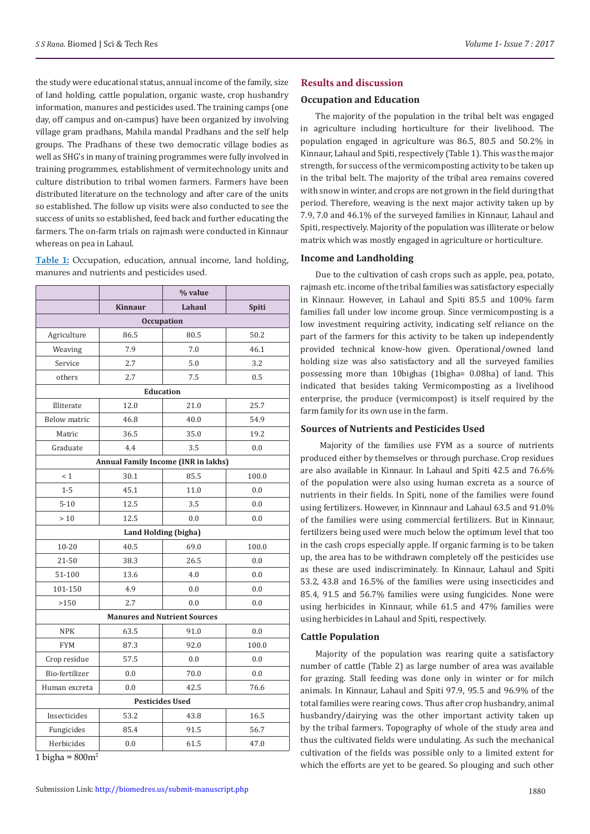the study were educational status, annual income of the family, size of land holding, cattle population, organic waste, crop husbandry information, manures and pesticides used. The training camps (one day, off campus and on-campus) have been organized by involving village gram pradhans, Mahila mandal Pradhans and the self help groups. The Pradhans of these two democratic village bodies as well as SHG's in many of training programmes were fully involved in training programmes, establishment of vermitechnology units and culture distribution to tribal women farmers. Farmers have been distributed literature on the technology and after care of the units so established. The follow up visits were also conducted to see the success of units so established, feed back and further educating the farmers. The on-farm trials on rajmash were conducted in Kinnaur whereas on pea in Lahaul.

**Table 1:** Occupation, education, annual income, land holding, manures and nutrients and pesticides used.

|                     |                                     | % value                             |       |  |  |  |  |  |
|---------------------|-------------------------------------|-------------------------------------|-------|--|--|--|--|--|
|                     | <b>Kinnaur</b>                      | Lahaul                              | Spiti |  |  |  |  |  |
| <b>Occupation</b>   |                                     |                                     |       |  |  |  |  |  |
| Agriculture         | 86.5                                | 80.5                                | 50.2  |  |  |  |  |  |
| Weaving             | 7.9                                 | 7.0                                 | 46.1  |  |  |  |  |  |
| Service             | 2.7                                 | 5.0                                 | 3.2   |  |  |  |  |  |
| others              | 2.7                                 | 7.5                                 | 0.5   |  |  |  |  |  |
|                     |                                     | <b>Education</b>                    |       |  |  |  |  |  |
| Illiterate          | 12.0                                | 21.0                                | 25.7  |  |  |  |  |  |
| <b>Below matric</b> | 46.8                                | 40.0                                | 54.9  |  |  |  |  |  |
| Matric              | 36.5                                | 35.0                                | 19.2  |  |  |  |  |  |
| Graduate            | 4.4                                 | 3.5                                 | 0.0   |  |  |  |  |  |
|                     | Annual Family Income (INR in lakhs) |                                     |       |  |  |  |  |  |
| < 1                 | 30.1                                | 85.5                                | 100.0 |  |  |  |  |  |
| $1-5$               | 45.1                                | 11.0                                | 0.0   |  |  |  |  |  |
| $5 - 10$            | 12.5                                | 3.5                                 | 0.0   |  |  |  |  |  |
| $>10$               | 12.5                                | 0.0                                 | 0.0   |  |  |  |  |  |
|                     | Land Holding (bigha)                |                                     |       |  |  |  |  |  |
| $10 - 20$           | 40.5                                | 69.0                                | 100.0 |  |  |  |  |  |
| 21-50               | 38.3                                | 26.5                                | 0.0   |  |  |  |  |  |
| 51-100              | 13.6                                | 4.0                                 | 0.0   |  |  |  |  |  |
| 101-150             | 4.9                                 | 0.0                                 | 0.0   |  |  |  |  |  |
| >150                | 2.7                                 | 0.0                                 | 0.0   |  |  |  |  |  |
|                     |                                     | <b>Manures and Nutrient Sources</b> |       |  |  |  |  |  |
| <b>NPK</b>          | 63.5                                | 91.0                                | 0.0   |  |  |  |  |  |
| <b>FYM</b>          | 87.3                                | 92.0                                | 100.0 |  |  |  |  |  |
| Crop residue        | 57.5                                | 0.0                                 | 0.0   |  |  |  |  |  |
| Bio-fertilizer      | 0.0                                 | 70.0                                | 0.0   |  |  |  |  |  |
| Human excreta       | 0.0                                 | 42.5                                | 76.6  |  |  |  |  |  |
|                     |                                     | <b>Pesticides Used</b>              |       |  |  |  |  |  |
| Insecticides        | 53.2                                | 43.8                                | 16.5  |  |  |  |  |  |
| Fungicides          | 85.4                                | 91.5                                | 56.7  |  |  |  |  |  |
| Herbicides          | 0.0                                 | 61.5                                | 47.0  |  |  |  |  |  |

1 bigha =  $800m^2$ 

#### **Results and discussion**

#### **Occupation and Education**

The majority of the population in the tribal belt was engaged in agriculture including horticulture for their livelihood. The population engaged in agriculture was 86.5, 80.5 and 50.2% in Kinnaur, Lahaul and Spiti, respectively (Table 1). This was the major strength, for success of the vermicomposting activity to be taken up in the tribal belt. The majority of the tribal area remains covered with snow in winter, and crops are not grown in the field during that period. Therefore, weaving is the next major activity taken up by 7.9, 7.0 and 46.1% of the surveyed families in Kinnaur, Lahaul and Spiti, respectively. Majority of the population was illiterate or below matrix which was mostly engaged in agriculture or horticulture.

### **Income and Landholding**

Due to the cultivation of cash crops such as apple, pea, potato, rajmash etc. income of the tribal families was satisfactory especially in Kinnaur. However, in Lahaul and Spiti 85.5 and 100% farm families fall under low income group. Since vermicomposting is a low investment requiring activity, indicating self reliance on the part of the farmers for this activity to be taken up independently provided technical know-how given. Operational/owned land holding size was also satisfactory and all the surveyed families possessing more than 10bighas (1bigha= 0.08ha) of land. This indicated that besides taking Vermicomposting as a livelihood enterprise, the produce (vermicompost) is itself required by the farm family for its own use in the farm.

# **Sources of Nutrients and Pesticides Used**

 Majority of the families use FYM as a source of nutrients produced either by themselves or through purchase. Crop residues are also available in Kinnaur. In Lahaul and Spiti 42.5 and 76.6% of the population were also using human excreta as a source of nutrients in their fields. In Spiti, none of the families were found using fertilizers. However, in Kinnnaur and Lahaul 63.5 and 91.0% of the families were using commercial fertilizers. But in Kinnaur, fertilizers being used were much below the optimum level that too in the cash crops especially apple. If organic farming is to be taken up, the area has to be withdrawn completely off the pesticides use as these are used indiscriminately. In Kinnaur, Lahaul and Spiti 53.2, 43.8 and 16.5% of the families were using insecticides and 85.4, 91.5 and 56.7% families were using fungicides. None were using herbicides in Kinnaur, while 61.5 and 47% families were using herbicides in Lahaul and Spiti, respectively.

### **Cattle Population**

Majority of the population was rearing quite a satisfactory number of cattle (Table 2) as large number of area was available for grazing. Stall feeding was done only in winter or for milch animals. In Kinnaur, Lahaul and Spiti 97.9, 95.5 and 96.9% of the total families were rearing cows. Thus after crop husbandry, animal husbandry/dairying was the other important activity taken up by the tribal farmers. Topography of whole of the study area and thus the cultivated fields were undulating. As such the mechanical cultivation of the fields was possible only to a limited extent for which the efforts are yet to be geared. So plouging and such other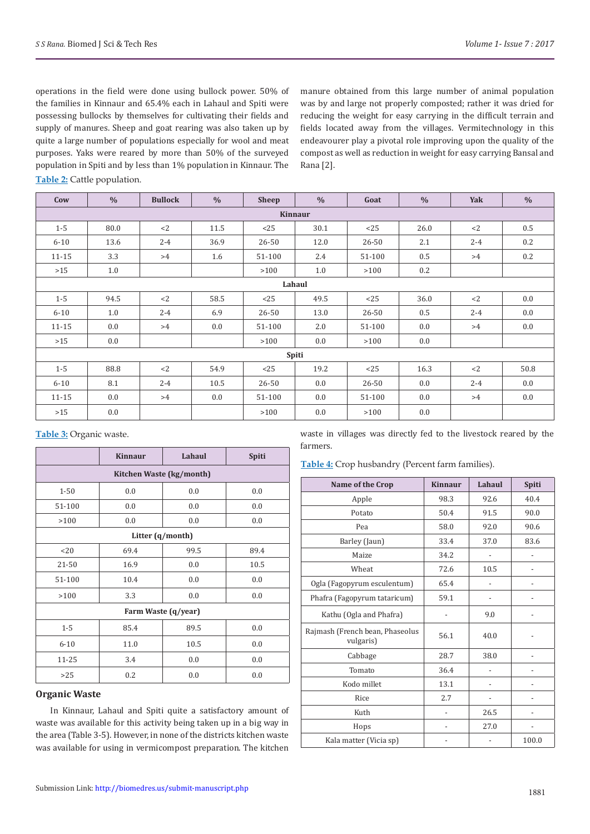operations in the field were done using bullock power. 50% of the families in Kinnaur and 65.4% each in Lahaul and Spiti were possessing bullocks by themselves for cultivating their fields and supply of manures. Sheep and goat rearing was also taken up by quite a large number of populations especially for wool and meat purposes. Yaks were reared by more than 50% of the surveyed population in Spiti and by less than 1% population in Kinnaur. The

manure obtained from this large number of animal population was by and large not properly composted; rather it was dried for reducing the weight for easy carrying in the difficult terrain and fields located away from the villages. Vermitechnology in this endeavourer play a pivotal role improving upon the quality of the compost as well as reduction in weight for easy carrying Bansal and Rana [2].

**Table 2:** Cattle population.

| Cow       | $\frac{0}{0}$ | <b>Bullock</b> | $\frac{0}{0}$ | <b>Sheep</b> | $\frac{0}{0}$ | Goat      | $\frac{0}{0}$ | Yak     | $\frac{0}{0}$ |
|-----------|---------------|----------------|---------------|--------------|---------------|-----------|---------------|---------|---------------|
| Kinnaur   |               |                |               |              |               |           |               |         |               |
| $1 - 5$   | 80.0          | $<$ 2          | 11.5          | <25          | 30.1          | <25       | 26.0          | $<$ 2   | 0.5           |
| $6 - 10$  | 13.6          | $2 - 4$        | 36.9          | 26-50        | 12.0          | 26-50     | 2.1           | $2 - 4$ | 0.2           |
| $11 - 15$ | 3.3           | >4             | 1.6           | 51-100       | 2.4           | 51-100    | 0.5           | >4      | 0.2           |
| $>15$     | 1.0           |                |               | >100         | 1.0           | >100      | 0.2           |         |               |
|           |               |                |               |              | Lahaul        |           |               |         |               |
| $1 - 5$   | 94.5          | <2             | 58.5          | <25          | 49.5          | <25       | 36.0          | $<$ 2   | 0.0           |
| $6 - 10$  | 1.0           | $2 - 4$        | 6.9           | 26-50        | 13.0          | 26-50     | 0.5           | $2 - 4$ | 0.0           |
| $11 - 15$ | 0.0           | >4             | 0.0           | 51-100       | 2.0           | 51-100    | 0.0           | >4      | 0.0           |
| $>15$     | 0.0           |                |               | >100         | 0.0           | >100      | 0.0           |         |               |
|           |               |                |               |              | Spiti         |           |               |         |               |
| $1 - 5$   | 88.8          | $<$ 2          | 54.9          | <25          | 19.2          | <25       | 16.3          | $<$ 2   | 50.8          |
| $6 - 10$  | 8.1           | $2 - 4$        | 10.5          | 26-50        | 0.0           | $26 - 50$ | 0.0           | $2 - 4$ | 0.0           |
| $11 - 15$ | 0.0           | >4             | 0.0           | 51-100       | 0.0           | 51-100    | 0.0           | >4      | 0.0           |
| $>15$     | 0.0           |                |               | >100         | 0.0           | >100      | 0.0           |         |               |

**Table 3:** Organic waste.

|                          | <b>Kinnaur</b>   | Lahaul<br>Spiti     |      |  |  |  |  |  |
|--------------------------|------------------|---------------------|------|--|--|--|--|--|
| Kitchen Waste (kg/month) |                  |                     |      |  |  |  |  |  |
| $1 - 50$                 | 0.0              | 0.0                 | 0.0  |  |  |  |  |  |
| 51-100                   | 0.0              | 0.0                 | 0.0  |  |  |  |  |  |
| >100                     | 0.0              | 0.0                 | 0.0  |  |  |  |  |  |
|                          | Litter (q/month) |                     |      |  |  |  |  |  |
| <20                      | 89.4             |                     |      |  |  |  |  |  |
| 21-50                    | 16.9             | 0.0                 | 10.5 |  |  |  |  |  |
| 51-100                   | 10.4             | 0.0                 | 0.0  |  |  |  |  |  |
| 3.3<br>>100              |                  | 0.0                 | 0.0  |  |  |  |  |  |
|                          |                  | Farm Waste (q/year) |      |  |  |  |  |  |
| $1 - 5$                  | 85.4             | 89.5                | 0.0  |  |  |  |  |  |
| $6 - 10$                 | 11.0             | 10.5                | 0.0  |  |  |  |  |  |
| 11-25                    | 3.4              | 0.0                 | 0.0  |  |  |  |  |  |
| >25                      | 0.2              | 0.0                 | 0.0  |  |  |  |  |  |

#### **Organic Waste**

In Kinnaur, Lahaul and Spiti quite a satisfactory amount of waste was available for this activity being taken up in a big way in the area (Table 3-5). However, in none of the districts kitchen waste was available for using in vermicompost preparation. The kitchen

waste in villages was directly fed to the livestock reared by the farmers.

**Table 4:** Crop husbandry (Percent farm families).

| Name of the Crop                             | <b>Kinnaur</b> | Lahaul | Spiti |
|----------------------------------------------|----------------|--------|-------|
| Apple                                        | 98.3           | 92.6   | 40.4  |
| Potato                                       | 50.4           | 91.5   | 90.0  |
| Pea                                          | 58.0           | 92.0   | 90.6  |
| Barley (Jaun)                                | 33.4           | 37.0   | 83.6  |
| Maize                                        | 34.2           |        |       |
| Wheat                                        | 72.6           | 10.5   |       |
| Ogla (Fagopyrum esculentum)                  | 65.4           |        |       |
| Phafra (Fagopyrum tataricum)                 | 59.1           |        |       |
| Kathu (Ogla and Phafra)                      |                | 9.0    |       |
| Rajmash (French bean, Phaseolus<br>vulgaris) | 56.1           | 40.0   |       |
| Cabbage                                      | 28.7           | 38.0   |       |
| Tomato                                       | 36.4           |        |       |
| Kodo millet                                  | 13.1           |        |       |
| Rice                                         | 2.7            |        |       |
| Kuth                                         |                | 26.5   |       |
| Hops                                         |                | 27.0   |       |
| Kala matter (Vicia sp)                       |                |        | 100.0 |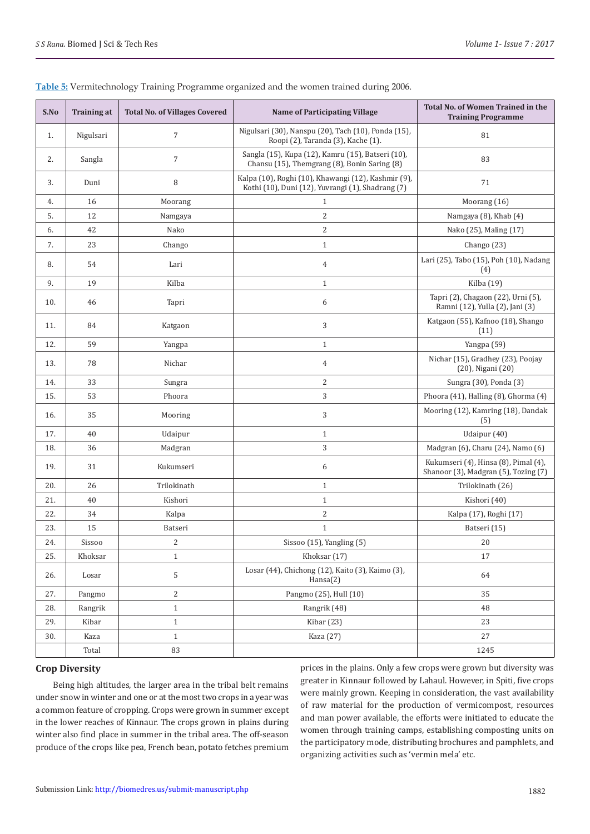| S.No | <b>Training at</b> | <b>Total No. of Villages Covered</b> | <b>Name of Participating Village</b>                                                                     | Total No. of Women Trained in the<br><b>Training Programme</b>               |  |
|------|--------------------|--------------------------------------|----------------------------------------------------------------------------------------------------------|------------------------------------------------------------------------------|--|
| 1.   | Nigulsari          | $\overline{7}$                       | Nigulsari (30), Nanspu (20), Tach (10), Ponda (15),<br>Roopi (2), Taranda (3), Kache (1).                | 81                                                                           |  |
| 2.   | Sangla             | $\overline{7}$                       | Sangla (15), Kupa (12), Kamru (15), Batseri (10),<br>Chansu (15), Themgrang (8), Bonin Saring (8)        | 83                                                                           |  |
| 3.   | Duni               | 8                                    | Kalpa (10), Roghi (10), Khawangi (12), Kashmir (9),<br>Kothi (10), Duni (12), Yuvrangi (1), Shadrang (7) | 71                                                                           |  |
| 4.   | 16                 | Moorang                              | $\mathbf{1}$                                                                                             | Moorang (16)                                                                 |  |
| 5.   | 12                 | Namgaya                              | $\overline{2}$                                                                                           | Namgaya (8), Khab (4)                                                        |  |
| 6.   | 42                 | Nako                                 | 2                                                                                                        | Nako (25), Maling (17)                                                       |  |
| 7.   | 23                 | Chango                               | $\mathbf{1}$                                                                                             | Chango (23)                                                                  |  |
| 8.   | 54                 | Lari                                 | $\overline{4}$                                                                                           | Lari (25), Tabo (15), Poh (10), Nadang<br>(4)                                |  |
| 9.   | 19                 | Kilba                                | $\mathbf{1}$                                                                                             | Kilba (19)                                                                   |  |
| 10.  | 46                 | Tapri                                | 6                                                                                                        | Tapri (2), Chagaon (22), Urni (5),<br>Ramni (12), Yulla (2), Jani (3)        |  |
| 11.  | 84                 | Katgaon                              | 3                                                                                                        | Katgaon (55), Kafnoo (18), Shango<br>(11)                                    |  |
| 12.  | 59                 | Yangpa                               | $\mathbf{1}$                                                                                             | Yangpa (59)                                                                  |  |
| 13.  | 78                 | Nichar                               | $\overline{4}$                                                                                           | Nichar (15), Gradhey (23), Poojay<br>(20), Nigani (20)                       |  |
| 14.  | 33                 | Sungra                               | $\sqrt{2}$                                                                                               | Sungra (30), Ponda (3)                                                       |  |
| 15.  | 53                 | Phoora                               | 3                                                                                                        | Phoora (41), Halling (8), Ghorma (4)                                         |  |
| 16.  | 35                 | Mooring                              | 3                                                                                                        | Mooring (12), Kamring (18), Dandak<br>(5)                                    |  |
| 17.  | 40                 | Udaipur                              | $1\,$                                                                                                    | Udaipur (40)                                                                 |  |
| 18.  | 36                 | Madgran                              | 3                                                                                                        | Madgran (6), Charu (24), Namo (6)                                            |  |
| 19.  | 31                 | Kukumseri                            | 6                                                                                                        | Kukumseri (4), Hinsa (8), Pimal (4),<br>Shanoor (3), Madgran (5), Tozing (7) |  |
| 20.  | 26                 | Trilokinath                          | $\mathbf{1}$                                                                                             | Trilokinath (26)                                                             |  |
| 21.  | 40                 | Kishori                              | $\mathbf{1}$                                                                                             | Kishori (40)                                                                 |  |
| 22.  | 34                 | Kalpa                                | $\overline{c}$                                                                                           | Kalpa (17), Roghi (17)                                                       |  |
| 23.  | 15                 | Batseri                              | $\mathbf{1}$                                                                                             | Batseri (15)                                                                 |  |
| 24.  | Sissoo             | $\overline{\mathbf{c}}$              | Sissoo (15), Yangling (5)                                                                                | $20\,$                                                                       |  |
| 25.  | Khoksar            | $\mathbf{1}$                         | Khoksar (17)                                                                                             | 17                                                                           |  |
| 26.  | Losar              | $\mathsf S$                          | Losar (44), Chichong (12), Kaito (3), Kaimo (3),<br>Hansa(2)                                             | 64                                                                           |  |
| 27.  | Pangmo             | $\overline{c}$                       | Pangmo (25), Hull (10)                                                                                   | 35                                                                           |  |
| 28.  | Rangrik            | $1\,$                                | Rangrik (48)                                                                                             | 48                                                                           |  |
| 29.  | Kibar              | $\mathbf{1}$                         | Kibar (23)                                                                                               | 23                                                                           |  |
| 30.  | Kaza               | $\mathbf{1}$                         | Kaza (27)                                                                                                | 27                                                                           |  |
|      | Total              | 83                                   |                                                                                                          | 1245                                                                         |  |

# **Table 5:** Vermitechnology Training Programme organized and the women trained during 2006.

# **Crop Diversity**

 Being high altitudes, the larger area in the tribal belt remains under snow in winter and one or at the most two crops in a year was a common feature of cropping. Crops were grown in summer except in the lower reaches of Kinnaur. The crops grown in plains during winter also find place in summer in the tribal area. The off-season produce of the crops like pea, French bean, potato fetches premium

prices in the plains. Only a few crops were grown but diversity was greater in Kinnaur followed by Lahaul. However, in Spiti, five crops were mainly grown. Keeping in consideration, the vast availability of raw material for the production of vermicompost, resources and man power available, the efforts were initiated to educate the women through training camps, establishing composting units on the participatory mode, distributing brochures and pamphlets, and organizing activities such as 'vermin mela' etc.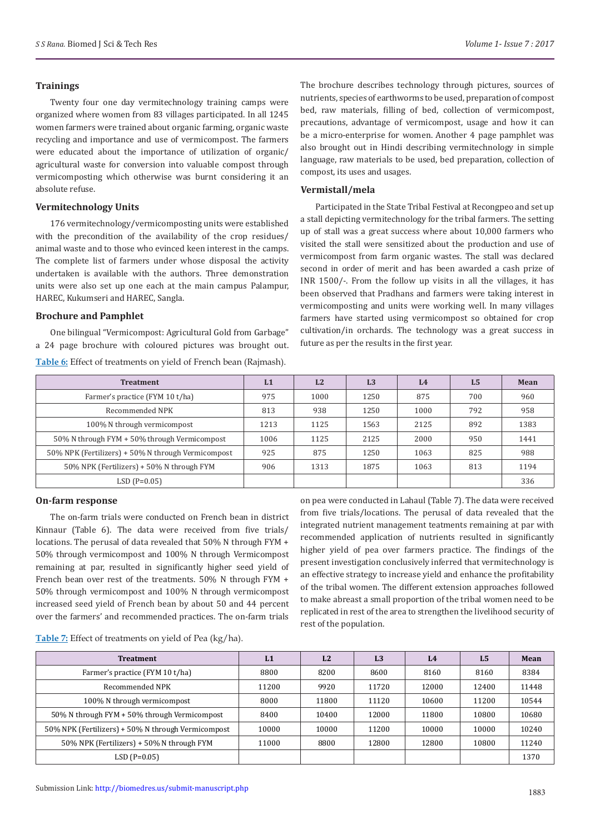#### **Trainings**

Twenty four one day vermitechnology training camps were organized where women from 83 villages participated. In all 1245 women farmers were trained about organic farming, organic waste recycling and importance and use of vermicompost. The farmers were educated about the importance of utilization of organic/ agricultural waste for conversion into valuable compost through vermicomposting which otherwise was burnt considering it an absolute refuse.

## **Vermitechnology Units**

176 vermitechnology/vermicomposting units were established with the precondition of the availability of the crop residues/ animal waste and to those who evinced keen interest in the camps. The complete list of farmers under whose disposal the activity undertaken is available with the authors. Three demonstration units were also set up one each at the main campus Palampur, HAREC, Kukumseri and HAREC, Sangla.

#### **Brochure and Pamphlet**

One bilingual "Vermicompost: Agricultural Gold from Garbage" a 24 page brochure with coloured pictures was brought out.

**Table 6:** Effect of treatments on yield of French bean (Rajmash).

The brochure describes technology through pictures, sources of nutrients, species of earthworms to be used, preparation of compost bed, raw materials, filling of bed, collection of vermicompost, precautions, advantage of vermicompost, usage and how it can be a micro-enterprise for women. Another 4 page pamphlet was also brought out in Hindi describing vermitechnology in simple language, raw materials to be used, bed preparation, collection of compost, its uses and usages.

# **Vermistall/mela**

Participated in the State Tribal Festival at Recongpeo and set up a stall depicting vermitechnology for the tribal farmers. The setting up of stall was a great success where about 10,000 farmers who visited the stall were sensitized about the production and use of vermicompost from farm organic wastes. The stall was declared second in order of merit and has been awarded a cash prize of INR 1500/-. From the follow up visits in all the villages, it has been observed that Pradhans and farmers were taking interest in vermicomposting and units were working well. In many villages farmers have started using vermicompost so obtained for crop cultivation/in orchards. The technology was a great success in future as per the results in the first year.

| <b>Treatment</b>                                   | L1   | L2   | L <sub>3</sub> | L <sub>4</sub> | L <sub>5</sub> | Mean |
|----------------------------------------------------|------|------|----------------|----------------|----------------|------|
| Farmer's practice (FYM 10 t/ha)                    | 975  | 1000 | 1250           | 875            | 700            | 960  |
| Recommended NPK                                    | 813  | 938  | 1250           | 1000           | 792            | 958  |
| 100% N through vermicompost                        | 1213 | 1125 | 1563           | 2125           | 892            | 1383 |
| 50% N through FYM + 50% through Vermicompost       | 1006 | 1125 | 2125           | 2000           | 950            | 1441 |
| 50% NPK (Fertilizers) + 50% N through Vermicompost | 925  | 875  | 1250           | 1063           | 825            | 988  |
| 50% NPK (Fertilizers) + 50% N through FYM          | 906  | 1313 | 1875           | 1063           | 813            | 1194 |
| $LSD(P=0.05)$                                      |      |      |                |                |                | 336  |

#### **On-farm response**

The on-farm trials were conducted on French bean in district Kinnaur (Table 6). The data were received from five trials/ locations. The perusal of data revealed that 50% N through FYM + 50% through vermicompost and 100% N through Vermicompost remaining at par, resulted in significantly higher seed yield of French bean over rest of the treatments. 50% N through FYM + 50% through vermicompost and 100% N through vermicompost increased seed yield of French bean by about 50 and 44 percent over the farmers' and recommended practices. The on-farm trials

on pea were conducted in Lahaul (Table 7). The data were received from five trials/locations. The perusal of data revealed that the integrated nutrient management teatments remaining at par with recommended application of nutrients resulted in significantly higher yield of pea over farmers practice. The findings of the present investigation conclusively inferred that vermitechnology is an effective strategy to increase yield and enhance the profitability of the tribal women. The different extension approaches followed to make abreast a small proportion of the tribal women need to be replicated in rest of the area to strengthen the livelihood security of rest of the population.

#### **Table 7:** Effect of treatments on yield of Pea (kg/ha).

| <b>Treatment</b>                                   | L1    | L2    | L <sub>3</sub> | L <sub>4</sub> | L <sub>5</sub> | Mean  |
|----------------------------------------------------|-------|-------|----------------|----------------|----------------|-------|
| Farmer's practice (FYM 10 t/ha)                    | 8800  | 8200  | 8600           | 8160           | 8160           | 8384  |
| Recommended NPK                                    | 11200 | 9920  | 11720          | 12000          | 12400          | 11448 |
| 100% N through vermicompost                        | 8000  | 11800 | 11120          | 10600          | 11200          | 10544 |
| 50% N through FYM + 50% through Vermicompost       | 8400  | 10400 | 12000          | 11800          | 10800          | 10680 |
| 50% NPK (Fertilizers) + 50% N through Vermicompost | 10000 | 10000 | 11200          | 10000          | 10000          | 10240 |
| 50% NPK (Fertilizers) + 50% N through FYM          | 11000 | 8800  | 12800          | 12800          | 10800          | 11240 |
| $LSD(P=0.05)$                                      |       |       |                |                |                | 1370  |